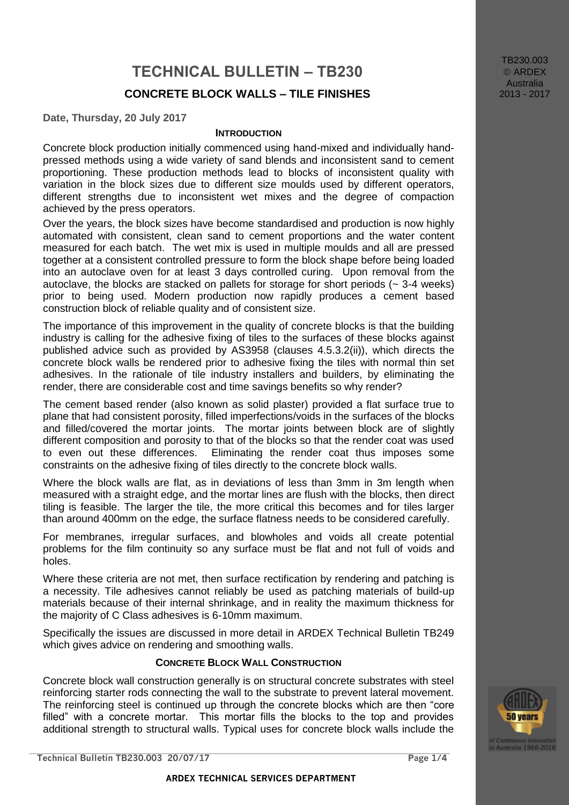# **TECHNICAL BULLETIN – TB230 CONCRETE BLOCK WALLS – TILE FINISHES**

**Date, Thursday, 20 July 2017**

#### **INTRODUCTION**

Concrete block production initially commenced using hand-mixed and individually handpressed methods using a wide variety of sand blends and inconsistent sand to cement proportioning. These production methods lead to blocks of inconsistent quality with variation in the block sizes due to different size moulds used by different operators, different strengths due to inconsistent wet mixes and the degree of compaction achieved by the press operators.

Over the years, the block sizes have become standardised and production is now highly automated with consistent, clean sand to cement proportions and the water content measured for each batch. The wet mix is used in multiple moulds and all are pressed together at a consistent controlled pressure to form the block shape before being loaded into an autoclave oven for at least 3 days controlled curing. Upon removal from the autoclave, the blocks are stacked on pallets for storage for short periods  $(-3.4$  weeks) prior to being used. Modern production now rapidly produces a cement based construction block of reliable quality and of consistent size.

The importance of this improvement in the quality of concrete blocks is that the building industry is calling for the adhesive fixing of tiles to the surfaces of these blocks against published advice such as provided by AS3958 (clauses 4.5.3.2(ii)), which directs the concrete block walls be rendered prior to adhesive fixing the tiles with normal thin set adhesives. In the rationale of tile industry installers and builders, by eliminating the render, there are considerable cost and time savings benefits so why render?

The cement based render (also known as solid plaster) provided a flat surface true to plane that had consistent porosity, filled imperfections/voids in the surfaces of the blocks and filled/covered the mortar joints. The mortar joints between block are of slightly different composition and porosity to that of the blocks so that the render coat was used to even out these differences. Eliminating the render coat thus imposes some constraints on the adhesive fixing of tiles directly to the concrete block walls.

Where the block walls are flat, as in deviations of less than 3mm in 3m length when measured with a straight edge, and the mortar lines are flush with the blocks, then direct tiling is feasible. The larger the tile, the more critical this becomes and for tiles larger than around 400mm on the edge, the surface flatness needs to be considered carefully.

For membranes, irregular surfaces, and blowholes and voids all create potential problems for the film continuity so any surface must be flat and not full of voids and holes.

Where these criteria are not met, then surface rectification by rendering and patching is a necessity. Tile adhesives cannot reliably be used as patching materials of build-up materials because of their internal shrinkage, and in reality the maximum thickness for the majority of C Class adhesives is 6-10mm maximum.

Specifically the issues are discussed in more detail in ARDEX Technical Bulletin TB249 which gives advice on rendering and smoothing walls.

#### **CONCRETE BLOCK WALL CONSTRUCTION**

Concrete block wall construction generally is on structural concrete substrates with steel reinforcing starter rods connecting the wall to the substrate to prevent lateral movement. The reinforcing steel is continued up through the concrete blocks which are then "core filled" with a concrete mortar. This mortar fills the blocks to the top and provides additional strength to structural walls. Typical uses for concrete block walls include the

TB230.003 © ARDEX **Australia** 2013 - 2017

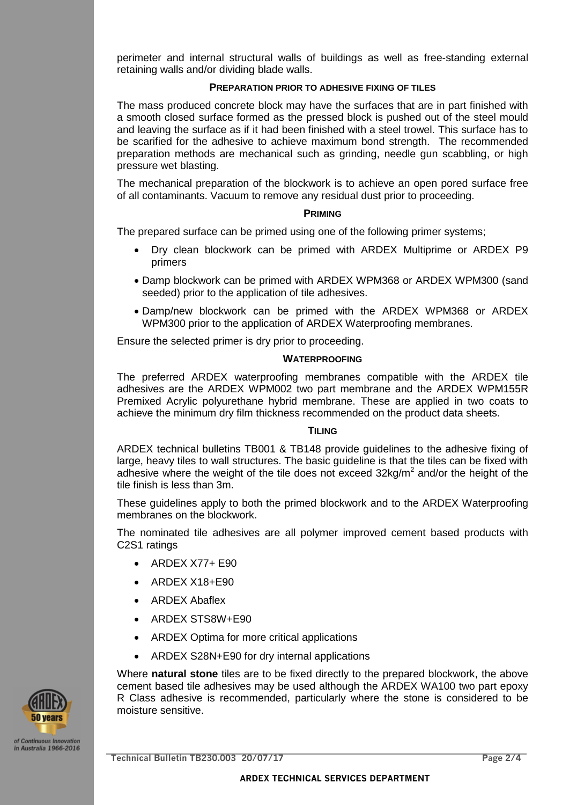perimeter and internal structural walls of buildings as well as free-standing external retaining walls and/or dividing blade walls.

## **PREPARATION PRIOR TO ADHESIVE FIXING OF TILES**

The mass produced concrete block may have the surfaces that are in part finished with a smooth closed surface formed as the pressed block is pushed out of the steel mould and leaving the surface as if it had been finished with a steel trowel. This surface has to be scarified for the adhesive to achieve maximum bond strength. The recommended preparation methods are mechanical such as grinding, needle gun scabbling, or high pressure wet blasting.

The mechanical preparation of the blockwork is to achieve an open pored surface free of all contaminants. Vacuum to remove any residual dust prior to proceeding.

#### **PRIMING**

The prepared surface can be primed using one of the following primer systems;

- Dry clean blockwork can be primed with ARDEX Multiprime or ARDEX P9 primers
- Damp blockwork can be primed with ARDEX WPM368 or ARDEX WPM300 (sand seeded) prior to the application of tile adhesives.
- Damp/new blockwork can be primed with the ARDEX WPM368 or ARDEX WPM300 prior to the application of ARDEX Waterproofing membranes.

Ensure the selected primer is dry prior to proceeding.

#### **WATERPROOFING**

The preferred ARDEX waterproofing membranes compatible with the ARDEX tile adhesives are the ARDEX WPM002 two part membrane and the ARDEX WPM155R Premixed Acrylic polyurethane hybrid membrane. These are applied in two coats to achieve the minimum dry film thickness recommended on the product data sheets.

#### **TILING**

ARDEX technical bulletins TB001 & TB148 provide guidelines to the adhesive fixing of large, heavy tiles to wall structures. The basic guideline is that the tiles can be fixed with adhesive where the weight of the tile does not exceed  $32$ kg/m<sup>2</sup> and/or the height of the tile finish is less than 3m.

These guidelines apply to both the primed blockwork and to the ARDEX Waterproofing membranes on the blockwork.

The nominated tile adhesives are all polymer improved cement based products with C2S1 ratings

- $\bullet$  ARDEX X77+ E90
- ARDEX X18+E90
- ARDEX Abaflex
- ARDEX STS8W+E90
- ARDEX Optima for more critical applications
- ARDEX S28N+E90 for dry internal applications

Where **natural stone** tiles are to be fixed directly to the prepared blockwork, the above cement based tile adhesives may be used although the ARDEX WA100 two part epoxy R Class adhesive is recommended, particularly where the stone is considered to be moisture sensitive.



**Technical Bulletin TB230.003 20/07/17 Page 2/4**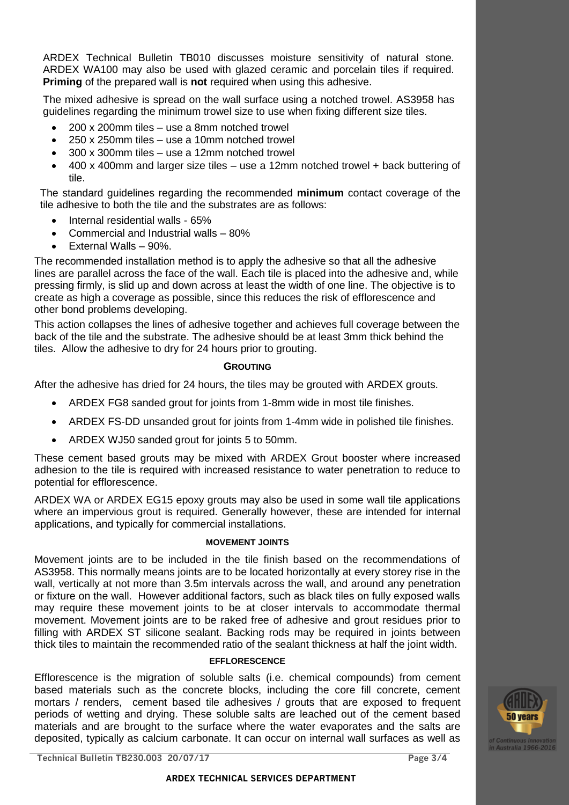ARDEX Technical Bulletin TB010 discusses moisture sensitivity of natural stone. ARDEX WA100 may also be used with glazed ceramic and porcelain tiles if required. **Priming** of the prepared wall is **not** required when using this adhesive.

The mixed adhesive is spread on the wall surface using a notched trowel. AS3958 has guidelines regarding the minimum trowel size to use when fixing different size tiles.

- 200 x 200mm tiles use a 8mm notched trowel
- 250 x 250mm tiles use a 10mm notched trowel
- 300 x 300mm tiles use a 12mm notched trowel
- 400 x 400mm and larger size tiles use a 12mm notched trowel + back buttering of tile.

The standard guidelines regarding the recommended **minimum** contact coverage of the tile adhesive to both the tile and the substrates are as follows:

- Internal residential walls 65%
- Commercial and Industrial walls 80%
- External Walls 90%.

The recommended installation method is to apply the adhesive so that all the adhesive lines are parallel across the face of the wall. Each tile is placed into the adhesive and, while pressing firmly, is slid up and down across at least the width of one line. The objective is to create as high a coverage as possible, since this reduces the risk of efflorescence and other bond problems developing.

This action collapses the lines of adhesive together and achieves full coverage between the back of the tile and the substrate. The adhesive should be at least 3mm thick behind the tiles. Allow the adhesive to dry for 24 hours prior to grouting.

### **GROUTING**

After the adhesive has dried for 24 hours, the tiles may be grouted with ARDEX grouts.

- ARDEX FG8 sanded grout for joints from 1-8mm wide in most tile finishes.
- ARDEX FS-DD unsanded grout for joints from 1-4mm wide in polished tile finishes.
- ARDEX WJ50 sanded grout for joints 5 to 50mm.

These cement based grouts may be mixed with ARDEX Grout booster where increased adhesion to the tile is required with increased resistance to water penetration to reduce to potential for efflorescence.

ARDEX WA or ARDEX EG15 epoxy grouts may also be used in some wall tile applications where an impervious grout is required. Generally however, these are intended for internal applications, and typically for commercial installations.

#### **MOVEMENT JOINTS**

Movement joints are to be included in the tile finish based on the recommendations of AS3958. This normally means joints are to be located horizontally at every storey rise in the wall, vertically at not more than 3.5m intervals across the wall, and around any penetration or fixture on the wall. However additional factors, such as black tiles on fully exposed walls may require these movement joints to be at closer intervals to accommodate thermal movement. Movement joints are to be raked free of adhesive and grout residues prior to filling with ARDEX ST silicone sealant. Backing rods may be required in joints between thick tiles to maintain the recommended ratio of the sealant thickness at half the joint width.

#### **EFFLORESCENCE**

Efflorescence is the migration of soluble salts (i.e. chemical compounds) from cement based materials such as the concrete blocks, including the core fill concrete, cement mortars / renders, cement based tile adhesives / grouts that are exposed to frequent periods of wetting and drying. These soluble salts are leached out of the cement based materials and are brought to the surface where the water evaporates and the salts are deposited, typically as calcium carbonate. It can occur on internal wall surfaces as well as



**Technical Bulletin TB230.003 20/07/17 Page 3/4**

 **ARDEX TECHNICAL SERVICES DEPARTMENT**